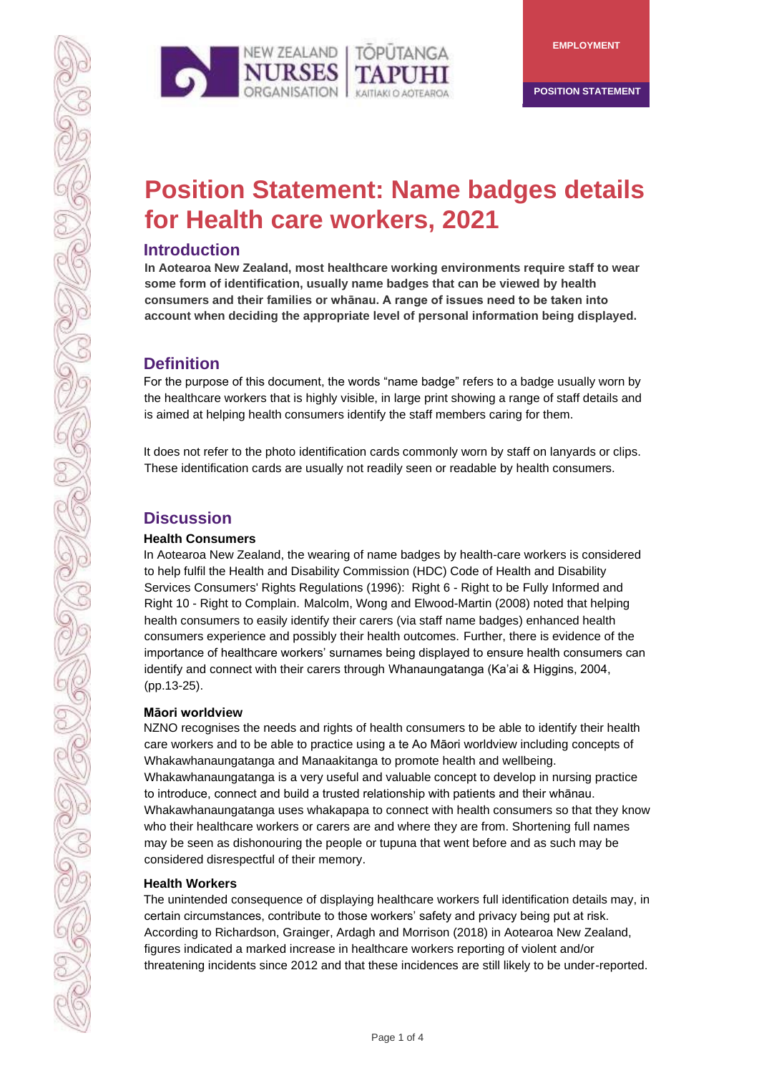



**POSITION STATEMENT** 

# **Position Statement: Name badges details for Health care workers, 2021**

## **Introduction**

**In Aotearoa New Zealand, most healthcare working environments require staff to wear some form of identification, usually name badges that can be viewed by health consumers and their families or whānau. A range of issues need to be taken into account when deciding the appropriate level of personal information being displayed.** 

# **Definition**

For the purpose of this document, the words "name badge" refers to a badge usually worn by the healthcare workers that is highly visible, in large print showing a range of staff details and is aimed at helping health consumers identify the staff members caring for them.

It does not refer to the photo identification cards commonly worn by staff on lanyards or clips. These identification cards are usually not readily seen or readable by health consumers.

# **Discussion**

#### **Health Consumers**

In Aotearoa New Zealand, the wearing of name badges by health-care workers is considered to help fulfil the Health and Disability Commission (HDC) Code of Health and Disability Services Consumers' Rights Regulations (1996): Right 6 - Right to be Fully Informed and Right 10 - Right to Complain. Malcolm, Wong and Elwood-Martin (2008) noted that helping health consumers to easily identify their carers (via staff name badges) enhanced health consumers experience and possibly their health outcomes. Further, there is evidence of the importance of healthcare workers' surnames being displayed to ensure health consumers can identify and connect with their carers through Whanaungatanga (Ka'ai & Higgins, 2004, (pp.13-25).

#### **Māori worldview**

NZNO recognises the needs and rights of health consumers to be able to identify their health care workers and to be able to practice using a te Ao Māori worldview including concepts of Whakawhanaungatanga and Manaakitanga to promote health and wellbeing. Whakawhanaungatanga is a very useful and valuable concept to develop in nursing practice to introduce, connect and build a trusted relationship with patients and their whānau. Whakawhanaungatanga uses whakapapa to connect with health consumers so that they know who their healthcare workers or carers are and where they are from. Shortening full names may be seen as dishonouring the people or tupuna that went before and as such may be considered disrespectful of their memory.

#### **Health Workers**

The unintended consequence of displaying healthcare workers full identification details may, in certain circumstances, contribute to those workers' safety and privacy being put at risk. According to Richardson, Grainger, Ardagh and Morrison (2018) in Aotearoa New Zealand, figures indicated a marked increase in healthcare workers reporting of violent and/or threatening incidents since 2012 and that these incidences are still likely to be under-reported.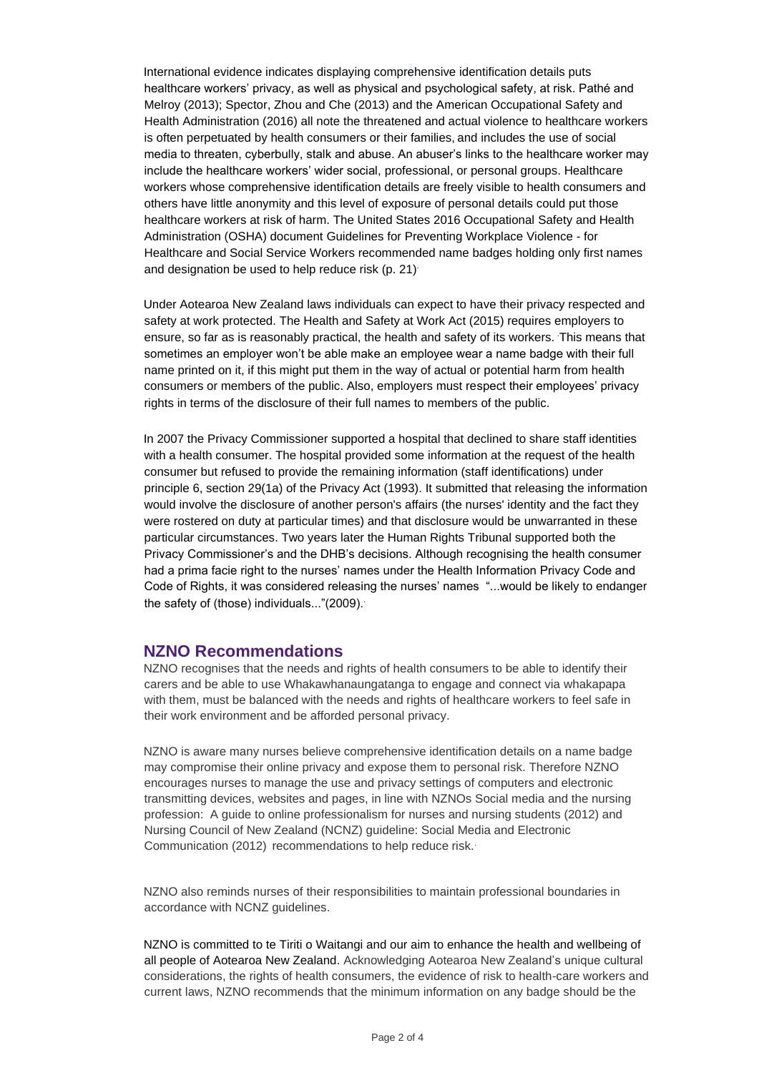International evidence indicates displaying comprehensive identification details puts healthcare workers' privacy, as well as physical and psychological safety, at risk. Pathé and Melroy (2013); [Spector,](https://www.ncbi.nlm.nih.gov/pubmed/?term=Spector%20PE%5BAuthor%5D&cauthor=true&cauthor_uid=23433725) [Zhou](https://www.ncbi.nlm.nih.gov/pubmed/?term=Zhou%20ZE%5BAuthor%5D&cauthor=true&cauthor_uid=23433725) an[d](https://www.ncbi.nlm.nih.gov/pubmed/?term=Che%20XX%5BAuthor%5D&cauthor=true&cauthor_uid=23433725) [Che](https://www.ncbi.nlm.nih.gov/pubmed/?term=Che%20XX%5BAuthor%5D&cauthor=true&cauthor_uid=23433725) (2013) and the American Occupational Safety and Health Administration (2016) all note the threatened and actual violence to healthcare workers is often perpetuated by health consumers or their families, and includes the use of social media to threaten, cyberbully, stalk and abuse. An abuser's links to the healthcare worker may include the healthcare workers' wider social, professional, or personal groups. Healthcare workers whose comprehensive identification details are freely visible to health consumers and others have little anonymity and this level of exposure of personal details could put those healthcare workers at risk of harm. The United States 2016 Occupational Safety and Health Administration (OSHA) document Guidelines for Preventing Workplace Violence - for Healthcare and Social Service Workers recommended name badges holding only first names and designation be used to help reduce risk (p. 21).

Under Aotearoa New Zealand laws individuals can expect to have their privacy respected and safety at work protected. The Health and Safety at Work Act (2015) requires employers to ensure, so far as is reasonably practical, the health and safety of its workers. This means that sometimes an employer won't be able make an employee wear a name badge with their full name printed on it, if this might put them in the way of actual or potential harm from health consumers or members of the public. Also, employers must respect their employees' privacy rights in terms of the disclosure of their full names to members of the public.

In 2007 the Privacy Commissioner supported a hospital that declined to share staff identities with a health consumer. The hospital provided some information at the request of the health consumer but refused to provide the remaining information (staff identifications) under principle 6, section 29(1a) of the Privacy Act (1993). It submitted that releasing the information would involve the disclosure of another person's affairs (the nurses' identity and the fact they were rostered on duty at particular times) and that disclosure would be unwarranted in these particular circumstances. Two years later the Human Rights Tribunal supported both the Privacy Commissioner's and the DHB's decisions. Although recognising the health consumer had a prima facie right to the nurses' names under the Health Information Privacy Code and Code of Rights, it was considered releasing the nurses' names "...would be likely to endanger the safety of (those) individuals..."(2009)..

### **NZNO Recommendations**

NZNO recognises that the needs and rights of health consumers to be able to identify their carers and be able to use Whakawhanaungatanga to engage and connect via whakapapa with them, must be balanced with the needs and rights of healthcare workers to feel safe in their work environment and be afforded personal privacy.

NZNO is aware many nurses believe comprehensive identification details on a name badge may compromise their online privacy and expose them to personal risk. Therefore NZNO encourages nurses to manage the use and privacy settings of computers and electronic transmitting devices, websites and pages, in line with NZNOs Social media and the nursing profession: A guide to online professionalism for nurses and nursing students (2012) and Nursing Council of New Zealand (NCNZ) guideline: Social Media and Electronic Communication (2012) recommendations to help reduce risk..

NZNO also reminds nurses of their responsibilities to maintain professional boundaries in accordance with NCNZ guidelines.

NZNO is committed to te Tiriti o Waitangi and our aim to enhance the health and wellbeing of all people of Aotearoa New Zealand. Acknowledging Aotearoa New Zealand's unique cultural considerations, the rights of health consumers, the evidence of risk to health-care workers and current laws, NZNO recommends that the minimum information on any badge should be the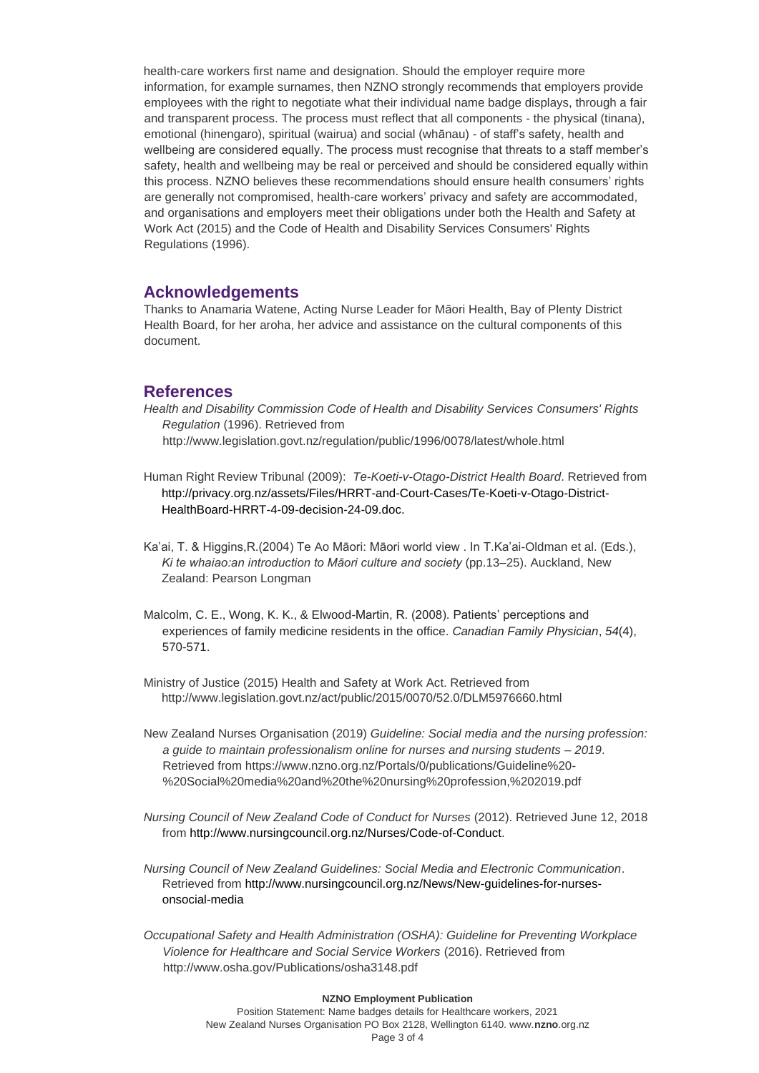health-care workers first name and designation. Should the employer require more information, for example surnames, then NZNO strongly recommends that employers provide employees with the right to negotiate what their individual name badge displays, through a fair and transparent process. The process must reflect that all components - the physical (tinana), emotional (hinengaro), spiritual (wairua) and social (whānau) - of staff's safety, health and wellbeing are considered equally. The process must recognise that threats to a staff member's safety, health and wellbeing may be real or perceived and should be considered equally within this process. NZNO believes these recommendations should ensure health consumers' rights are generally not compromised, health-care workers' privacy and safety are accommodated, and organisations and employers meet their obligations under both the Health and Safety at Work Act (2015) and the Code of Health and Disability Services Consumers' Rights Regulations (1996).

#### **Acknowledgements**

Thanks to Anamaria Watene, Acting Nurse Leader for Māori Health, Bay of Plenty District Health Board, for her aroha, her advice and assistance on the cultural components of this document.

### **References**

- *Health and Disability Commission Code of Health and Disability Services Consumers' Rights Regulation* (1996). Retrieved from http://www.legislation.govt.nz/regulation/public/1996/0078/latest/whole.html
- Human Right Review Tribunal (2009): *Te-Koeti-v-Otago-District Health Board*. Retrieved from [http://privacy.org.nz/assets/Files/HRRT-and-Court-Cases/Te-Koeti-v-Otago-District-](http://privacy.org.nz/assets/Files/HRRT-and-Court-Cases/Te-Koeti-v-Otago-District-Health-Board-HRRT-4-09-decision-24-09.doc.%20Retrieved%2009/10/2017)[HealthBoard-HRRT-4-09-decision-24-09.doc.](http://privacy.org.nz/assets/Files/HRRT-and-Court-Cases/Te-Koeti-v-Otago-District-Health-Board-HRRT-4-09-decision-24-09.doc.%20Retrieved%2009/10/2017)
- Ka'ai, T. & Higgins,R.(2004) Te Ao Māori: Māori world view . In T.Ka'ai-Oldman et al. (Eds.), *Ki te whaiao:an introduction to Māori culture and society* (pp.13*–*25). Auckland, New Zealand: Pearson Longman
- Malcolm, C. E., Wong, K. K., & Elwood-Martin, R. (2008). Patients' perceptions and experiences of family medicine residents in the office. *Canadian Family Physician*, *54*(4), 570-571.
- Ministry of Justice (2015) Health and Safety at Work Act. Retrieved from <http://www.legislation.govt.nz/act/public/2015/0070/52.0/DLM5976660.html>
- New Zealand Nurses Organisation (2019) *Guideline: Social media and the nursing profession: a guide to maintain professionalism online for nurses and nursing students* – *2019*. Retrieved from [https://www.nzno.org.nz/Portals/0/publications/Guideline%20-](https://www.nzno.org.nz/Portals/0/publications/Guideline%20-%20Social%20media%20and%20the%20nursing%20profession,%202019.pdf) [%20Social%20media%20and%20the%20nursing%20profession,%202019.pdf](https://www.nzno.org.nz/Portals/0/publications/Guideline%20-%20Social%20media%20and%20the%20nursing%20profession,%202019.pdf)
- *Nursing Council of New Zealand Code of Conduct for Nurses* (2012). Retrieved June 12, 2018 from [http://www.nursingcouncil.org.nz/Nurses/Code-of-Conduct.](http://www.nursingcouncil.org.nz/Nurses/Code-of-Conduct)
- *Nursing Council of New Zealand Guidelines: Social Media and Electronic Communication*. Retrieved from [http://www.nursingcouncil.org.nz/News/New-guidelines-for-nurses](http://www.nursingcouncil.org.nz/News/New-guidelines-for-nurses-on-social-media)[onsocial-media](http://www.nursingcouncil.org.nz/News/New-guidelines-for-nurses-on-social-media)
- *Occupational Safety and Health Administration (OSHA): Guideline for Preventing Workplace Violence for Healthcare and Social Service Workers* (2016). Retrieved from <http://www.osha.gov/Publications/osha3148.pdf>

#### **NZNO Employment Publication**